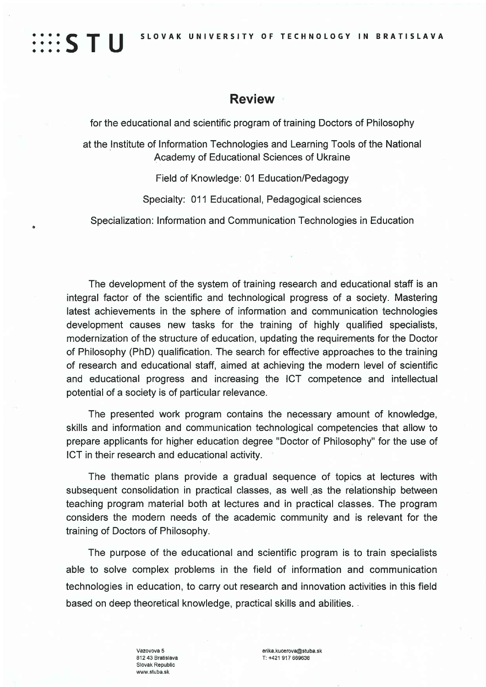SLOVAK UNIVERSITY OF TECHNOLOGY IN BRATISLAVA

## **Review**

::::S T U

for the educational and scientific program of training Doctors of Philosophy

at the Institute of Information Technologies and Learning Tools of the National Academy of Educational Sciences of Ukraine

Field of Knowledge: 01 Education/Pedagogy

Specialty: 011 Educational, Pedagogical sciences

Specialization: Information and Communication Technologies in Education

The development of the system of training research and educational staff is an integral factor of the scientific and technological progress of a society. Mastering latest achievements in the sphere of information and communication technologies development causes new tasks for the training of highly qualified specialists, modernization of the structure of education, updating the requirements for the Doctor of Philosophy (PhD) qualification. The search for effective approaches to the training of research and educational staff, aimed at achieving the modern level of scientific and educational progress and increasing the ICT competence and intellectual potential of a society is of particular relevance.

The presented work program contains the necessary amount of knowledge, skills and information and communication technological competencies that allow to prepare applicants for higher education degree "Doctor of Philosophy" for the use of ICT in their research and educational activity.

The thematic plans provide a gradual sequence of topics at lectures with subsequent consolidation in practical classes, as well as the relationship between teaching program material both at lectures and in practical classes. The program considers the modern needs of the academic community and is relevant for the training of Doctors of Philosophy.

The purpose of the educational and scientific program is to train specialists able to solve complex problems in the field of information and communication technologies in education, to carry out research and innovation activities in this field based on deep theoretical knowledge, practical skills and abilities.

> Vazovova 5 812 43 Bratislava Slovak Republic www.stuba.sk

erika.kucerova@stuba.sk T: +421 917 669638